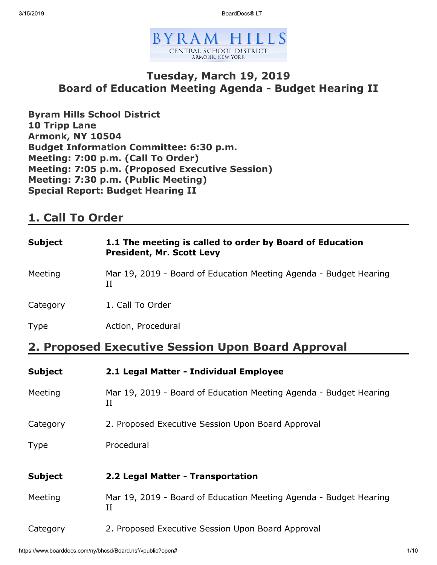3/15/2019 BoardDocs® LT



### **Tuesday, March 19, 2019 Board of Education Meeting Agenda - Budget Hearing II**

**Byram Hills School District 10 Tripp Lane Armonk, NY 10504 Budget Information Committee: 6:30 p.m. Meeting: 7:00 p.m. (Call To Order) Meeting: 7:05 p.m. (Proposed Executive Session) Meeting: 7:30 p.m. (Public Meeting) Special Report: Budget Hearing II**

### **1. Call To Order**

| Subject  | 1.1 The meeting is called to order by Board of Education<br><b>President, Mr. Scott Levy</b> |
|----------|----------------------------------------------------------------------------------------------|
| Meeting  | Mar 19, 2019 - Board of Education Meeting Agenda - Budget Hearing<br>П                       |
| Category | 1. Call To Order                                                                             |
| Type     | Action, Procedural                                                                           |
|          | 2. Proposed Executive Session Upon Board Approval                                            |
| Subject  | 2.1 Legal Matter - Individual Employee                                                       |
| Meeting  | Mar 19, 2019 - Board of Education Meeting Agenda - Budget Hearing<br>П                       |
|          |                                                                                              |

- Category 2. Proposed Executive Session Upon Board Approval
- Type Procedural

| Subject | 2.2 Legal Matter - Transportation                                 |
|---------|-------------------------------------------------------------------|
| Meeting | Mar 19, 2019 - Board of Education Meeting Agenda - Budget Hearing |

Category 2. Proposed Executive Session Upon Board Approval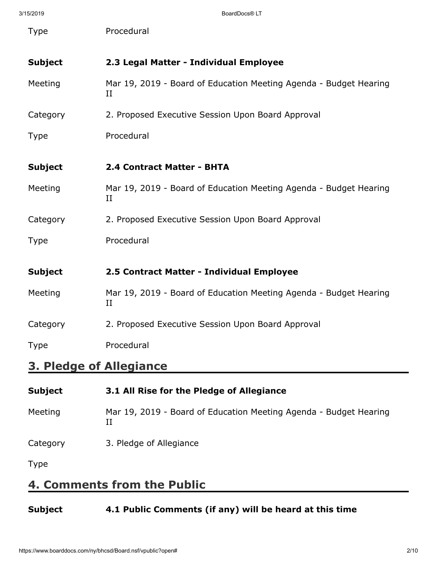| 3/15/2019                      | BoardDocs® LT                                                           |
|--------------------------------|-------------------------------------------------------------------------|
| <b>Type</b>                    | Procedural                                                              |
| <b>Subject</b>                 | 2.3 Legal Matter - Individual Employee                                  |
| Meeting                        | Mar 19, 2019 - Board of Education Meeting Agenda - Budget Hearing<br>II |
| Category                       | 2. Proposed Executive Session Upon Board Approval                       |
| <b>Type</b>                    | Procedural                                                              |
| <b>Subject</b>                 | 2.4 Contract Matter - BHTA                                              |
| Meeting                        | Mar 19, 2019 - Board of Education Meeting Agenda - Budget Hearing<br>П  |
| Category                       | 2. Proposed Executive Session Upon Board Approval                       |
| <b>Type</b>                    | Procedural                                                              |
| <b>Subject</b>                 | 2.5 Contract Matter - Individual Employee                               |
| Meeting                        | Mar 19, 2019 - Board of Education Meeting Agenda - Budget Hearing<br>II |
| Category                       | 2. Proposed Executive Session Upon Board Approval                       |
| <b>Type</b>                    | Procedural                                                              |
| <b>3. Pledge of Allegiance</b> |                                                                         |

| <b>Subject</b> | 3.1 All Rise for the Pledge of Allegiance                              |
|----------------|------------------------------------------------------------------------|
| Meeting        | Mar 19, 2019 - Board of Education Meeting Agenda - Budget Hearing<br>П |
| Category       | 3. Pledge of Allegiance                                                |
| <b>Type</b>    |                                                                        |

# **4. Comments from the Public**

### **Subject 4.1 Public Comments (if any) will be heard at this time**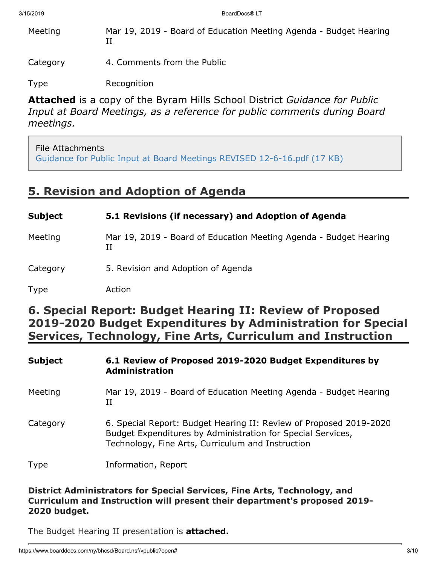Meeting Mar 19, 2019 - Board of Education Meeting Agenda - Budget Hearing II

Category 4. Comments from the Public

Type Recognition

**Attached** is a copy of the Byram Hills School District *Guidance for Public Input at Board Meetings, as a reference for public comments during Board meetings.*

### File Attachments

[Guidance for Public Input at Board Meetings REVISED 12-6-16.pdf \(17 KB\)](https://www.boarddocs.com/ny/bhcsd/Board.nsf/files/B7KS2D70817D/$file/Guidance%20for%20Public%20Input%20at%20Board%20Meetings%20REVISED%2012-6-16.pdf)

## **5. Revision and Adoption of Agenda**

| <b>Subject</b> | 5.1 Revisions (if necessary) and Adoption of Agenda                    |
|----------------|------------------------------------------------------------------------|
| Meeting        | Mar 19, 2019 - Board of Education Meeting Agenda - Budget Hearing<br>П |
| Category       | 5. Revision and Adoption of Agenda                                     |
| <b>Type</b>    | Action                                                                 |

## **6. Special Report: Budget Hearing II: Review of Proposed 2019-2020 Budget Expenditures by Administration for Special Services, Technology, Fine Arts, Curriculum and Instruction**

| <b>Subject</b> | 6.1 Review of Proposed 2019-2020 Budget Expenditures by<br><b>Administration</b>                                                                                                       |
|----------------|----------------------------------------------------------------------------------------------------------------------------------------------------------------------------------------|
| Meeting        | Mar 19, 2019 - Board of Education Meeting Agenda - Budget Hearing<br>Н                                                                                                                 |
| Category       | 6. Special Report: Budget Hearing II: Review of Proposed 2019-2020<br>Budget Expenditures by Administration for Special Services,<br>Technology, Fine Arts, Curriculum and Instruction |
| Type           | Information, Report                                                                                                                                                                    |

**District Administrators for Special Services, Fine Arts, Technology, and Curriculum and Instruction will present their department's proposed 2019- 2020 budget.**

The Budget Hearing II presentation is **attached.**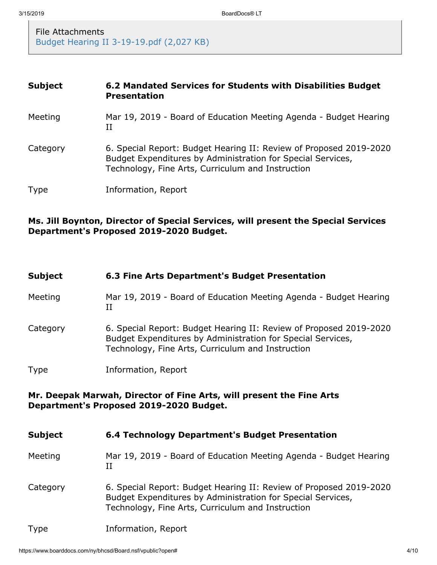File Attachments [Budget Hearing II 3-19-19.pdf \(2,027 KB\)](https://www.boarddocs.com/ny/bhcsd/Board.nsf/files/BAELBZ550088/$file/Budget%20Hearing%20II%203-19-19.pdf)

| <b>Subject</b> | 6.2 Mandated Services for Students with Disabilities Budget<br><b>Presentation</b>                                                                                                     |
|----------------|----------------------------------------------------------------------------------------------------------------------------------------------------------------------------------------|
| Meeting        | Mar 19, 2019 - Board of Education Meeting Agenda - Budget Hearing<br>П                                                                                                                 |
| Category       | 6. Special Report: Budget Hearing II: Review of Proposed 2019-2020<br>Budget Expenditures by Administration for Special Services,<br>Technology, Fine Arts, Curriculum and Instruction |
| <b>Type</b>    | Information, Report                                                                                                                                                                    |

### **Ms. Jill Boynton, Director of Special Services, will present the Special Services Department's Proposed 2019-2020 Budget.**

| <b>Subject</b> | 6.3 Fine Arts Department's Budget Presentation                                                                                                                                         |
|----------------|----------------------------------------------------------------------------------------------------------------------------------------------------------------------------------------|
| Meeting        | Mar 19, 2019 - Board of Education Meeting Agenda - Budget Hearing<br>$_{\rm II}$                                                                                                       |
| Category       | 6. Special Report: Budget Hearing II: Review of Proposed 2019-2020<br>Budget Expenditures by Administration for Special Services,<br>Technology, Fine Arts, Curriculum and Instruction |
| <b>Type</b>    | Information, Report                                                                                                                                                                    |
|                | Mr. Deepak Marwah, Director of Fine Arts, will present the Fine Arts<br>Department's Proposed 2019-2020 Budget.                                                                        |
| <b>Subject</b> | 6.4 Technology Department's Budget Presentation                                                                                                                                        |
| Meeting        | Mar 19, 2019 - Board of Education Meeting Agenda - Budget Hearing<br>$_{\rm II}$                                                                                                       |
| Category       | 6. Special Report: Budget Hearing II: Review of Proposed 2019-2020<br>Budget Expenditures by Administration for Special Services,<br>Technology, Fine Arts, Curriculum and Instruction |

Type Information, Report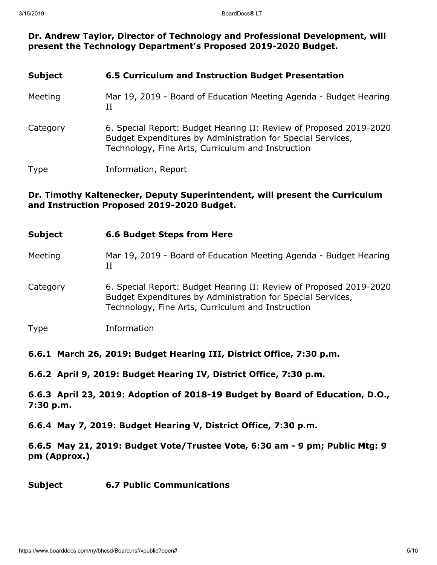#### **Dr. Andrew Taylor, Director of Technology and Professional Development, will present the Technology Department's Proposed 2019-2020 Budget.**

| <b>Subject</b> | 6.5 Curriculum and Instruction Budget Presentation                                                                                                                                     |
|----------------|----------------------------------------------------------------------------------------------------------------------------------------------------------------------------------------|
| Meeting        | Mar 19, 2019 - Board of Education Meeting Agenda - Budget Hearing<br>Н                                                                                                                 |
| Category       | 6. Special Report: Budget Hearing II: Review of Proposed 2019-2020<br>Budget Expenditures by Administration for Special Services,<br>Technology, Fine Arts, Curriculum and Instruction |
| <b>Type</b>    | Information, Report                                                                                                                                                                    |

#### **Dr. Timothy Kaltenecker, Deputy Superintendent, will present the Curriculum and Instruction Proposed 2019-2020 Budget.**

| <b>Subject</b> | <b>6.6 Budget Steps from Here</b>                                                                                                                                                      |
|----------------|----------------------------------------------------------------------------------------------------------------------------------------------------------------------------------------|
| Meeting        | Mar 19, 2019 - Board of Education Meeting Agenda - Budget Hearing<br>II                                                                                                                |
| Category       | 6. Special Report: Budget Hearing II: Review of Proposed 2019-2020<br>Budget Expenditures by Administration for Special Services,<br>Technology, Fine Arts, Curriculum and Instruction |
| <b>Type</b>    | Information                                                                                                                                                                            |

#### **6.6.1 March 26, 2019: Budget Hearing III, District Office, 7:30 p.m.**

**6.6.2 April 9, 2019: Budget Hearing IV, District Office, 7:30 p.m.**

**6.6.3 April 23, 2019: Adoption of 2018-19 Budget by Board of Education, D.O., 7:30 p.m.**

**6.6.4 May 7, 2019: Budget Hearing V, District Office, 7:30 p.m.**

**6.6.5 May 21, 2019: Budget Vote/Trustee Vote, 6:30 am - 9 pm; Public Mtg: 9 pm (Approx.)**

#### **Subject 6.7 Public Communications**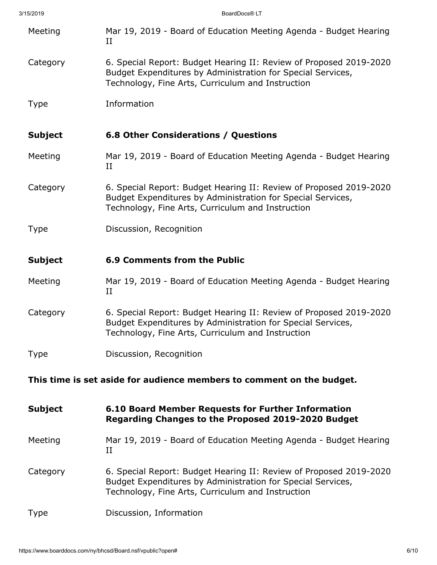| 3/15/2019                                                             |                | BoardDocs® LT                                                                                                                                                                          |
|-----------------------------------------------------------------------|----------------|----------------------------------------------------------------------------------------------------------------------------------------------------------------------------------------|
|                                                                       | Meeting        | Mar 19, 2019 - Board of Education Meeting Agenda - Budget Hearing<br>П                                                                                                                 |
|                                                                       | Category       | 6. Special Report: Budget Hearing II: Review of Proposed 2019-2020<br>Budget Expenditures by Administration for Special Services,<br>Technology, Fine Arts, Curriculum and Instruction |
|                                                                       | <b>Type</b>    | Information                                                                                                                                                                            |
|                                                                       | <b>Subject</b> | <b>6.8 Other Considerations / Questions</b>                                                                                                                                            |
|                                                                       | Meeting        | Mar 19, 2019 - Board of Education Meeting Agenda - Budget Hearing<br>$_{\rm II}$                                                                                                       |
|                                                                       | Category       | 6. Special Report: Budget Hearing II: Review of Proposed 2019-2020<br>Budget Expenditures by Administration for Special Services,<br>Technology, Fine Arts, Curriculum and Instruction |
|                                                                       | <b>Type</b>    | Discussion, Recognition                                                                                                                                                                |
|                                                                       | <b>Subject</b> | <b>6.9 Comments from the Public</b>                                                                                                                                                    |
|                                                                       | Meeting        | Mar 19, 2019 - Board of Education Meeting Agenda - Budget Hearing<br>$_{\rm II}$                                                                                                       |
|                                                                       | Category       | 6. Special Report: Budget Hearing II: Review of Proposed 2019-2020<br>Budget Expenditures by Administration for Special Services,<br>Technology, Fine Arts, Curriculum and Instruction |
|                                                                       | <b>Type</b>    | Discussion, Recognition                                                                                                                                                                |
| This time is set aside for audience members to comment on the budget. |                |                                                                                                                                                                                        |
|                                                                       | <b>Subject</b> | 6.10 Board Member Requests for Further Information<br>Regarding Changes to the Proposed 2019-2020 Budget                                                                               |
|                                                                       | Meeting        | Mar 19, 2019 - Board of Education Meeting Agenda - Budget Hearing<br>$_{\rm II}$                                                                                                       |
|                                                                       | Category       | 6. Special Report: Budget Hearing II: Review of Proposed 2019-2020<br>Budget Expenditures by Administration for Special Services,<br>Technology, Fine Arts, Curriculum and Instruction |
|                                                                       | Type           | Discussion, Information                                                                                                                                                                |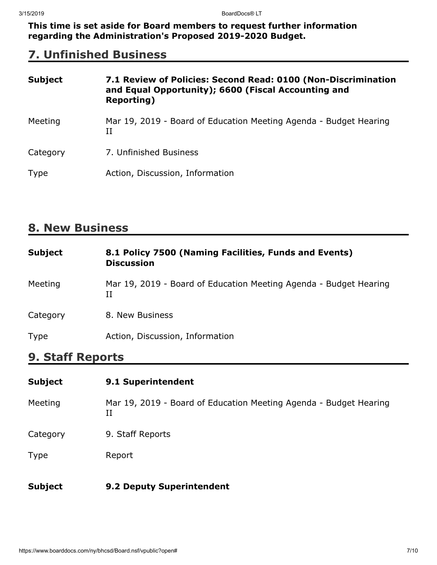**This time is set aside for Board members to request further information regarding the Administration's Proposed 2019-2020 Budget.**

## **7. Unfinished Business**

| <b>Subject</b> | 7.1 Review of Policies: Second Read: 0100 (Non-Discrimination<br>and Equal Opportunity); 6600 (Fiscal Accounting and<br><b>Reporting</b> ) |
|----------------|--------------------------------------------------------------------------------------------------------------------------------------------|
| Meeting        | Mar 19, 2019 - Board of Education Meeting Agenda - Budget Hearing<br>Н                                                                     |
| Category       | 7. Unfinished Business                                                                                                                     |
| <b>Type</b>    | Action, Discussion, Information                                                                                                            |

## **8. New Business**

| <b>Subject</b> | 8.1 Policy 7500 (Naming Facilities, Funds and Events)<br><b>Discussion</b> |
|----------------|----------------------------------------------------------------------------|
| Meeting        | Mar 19, 2019 - Board of Education Meeting Agenda - Budget Hearing<br>Н     |
| Category       | 8. New Business                                                            |
| <b>Type</b>    | Action, Discussion, Information                                            |

## **9. Staff Reports**

| <b>Subject</b> | 9.1 Superintendent                                                     |
|----------------|------------------------------------------------------------------------|
| Meeting        | Mar 19, 2019 - Board of Education Meeting Agenda - Budget Hearing<br>и |
| Category       | 9. Staff Reports                                                       |
| <b>Type</b>    | Report                                                                 |
| <b>Subject</b> | 9.2 Deputy Superintendent                                              |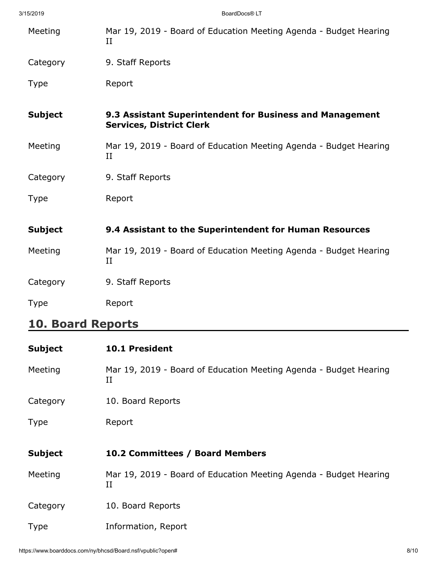| 3/15/2019      | BoardDocs® LT                                                                               |
|----------------|---------------------------------------------------------------------------------------------|
| Meeting        | Mar 19, 2019 - Board of Education Meeting Agenda - Budget Hearing<br>$_{\rm II}$            |
| Category       | 9. Staff Reports                                                                            |
| <b>Type</b>    | Report                                                                                      |
| <b>Subject</b> | 9.3 Assistant Superintendent for Business and Management<br><b>Services, District Clerk</b> |
| Meeting        | Mar 19, 2019 - Board of Education Meeting Agenda - Budget Hearing<br>$_{\rm II}$            |
| Category       | 9. Staff Reports                                                                            |
| <b>Type</b>    | Report                                                                                      |
| <b>Subject</b> | 9.4 Assistant to the Superintendent for Human Resources                                     |
| Meeting        | Mar 19, 2019 - Board of Education Meeting Agenda - Budget Hearing<br>II                     |
| Category       | 9. Staff Reports                                                                            |
| <b>Type</b>    | Report                                                                                      |
|                |                                                                                             |

### **10. Board Reports**

| <b>Subject</b> | <b>10.1 President</b>                                                        |
|----------------|------------------------------------------------------------------------------|
| Meeting        | Mar 19, 2019 - Board of Education Meeting Agenda - Budget Hearing<br>П       |
| Category       | 10. Board Reports                                                            |
| <b>Type</b>    | Report                                                                       |
|                |                                                                              |
| <b>Subject</b> | 10.2 Committees / Board Members                                              |
| Meeting        | Mar 19, 2019 - Board of Education Meeting Agenda - Budget Hearing<br>$_{II}$ |
|                |                                                                              |
| Category       | 10. Board Reports                                                            |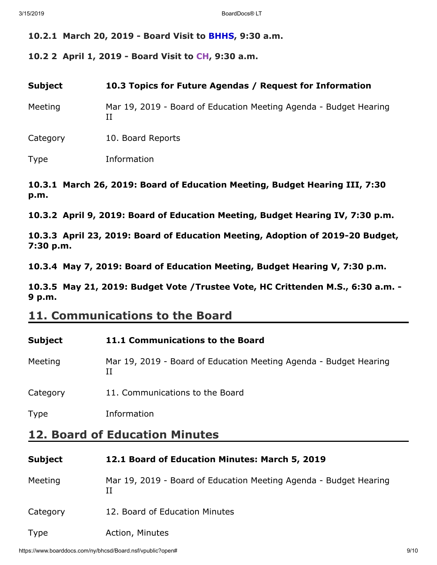#### **10.2.1 March 20, 2019 - Board Visit to BHHS, 9:30 a.m.**

**10.2 2 April 1, 2019 - Board Visit to CH, 9:30 a.m.**

**Subject 10.3 Topics for Future Agendas / Request for Information**

Meeting Mar 19, 2019 - Board of Education Meeting Agenda - Budget Hearing II

Category 10. Board Reports

Type Information

#### **10.3.1 March 26, 2019: Board of Education Meeting, Budget Hearing III, 7:30 p.m.**

**10.3.2 April 9, 2019: Board of Education Meeting, Budget Hearing IV, 7:30 p.m.**

**10.3.3 April 23, 2019: Board of Education Meeting, Adoption of 2019-20 Budget, 7:30 p.m.**

**10.3.4 May 7, 2019: Board of Education Meeting, Budget Hearing V, 7:30 p.m.**

**10.3.5 May 21, 2019: Budget Vote /Trustee Vote, HC Crittenden M.S., 6:30 a.m. - 9 p.m.**

### **11. Communications to the Board**

| Subject | 11.1 Communications to the Board                                  |
|---------|-------------------------------------------------------------------|
| Meeting | Mar 19, 2019 - Board of Education Meeting Agenda - Budget Hearing |

Category 11. Communications to the Board

Type Information

### **12. Board of Education Minutes**

#### **Subject 12.1 Board of Education Minutes: March 5, 2019**

Meeting Mar 19, 2019 - Board of Education Meeting Agenda - Budget Hearing II

Category 12. Board of Education Minutes

Type **Action**, Minutes